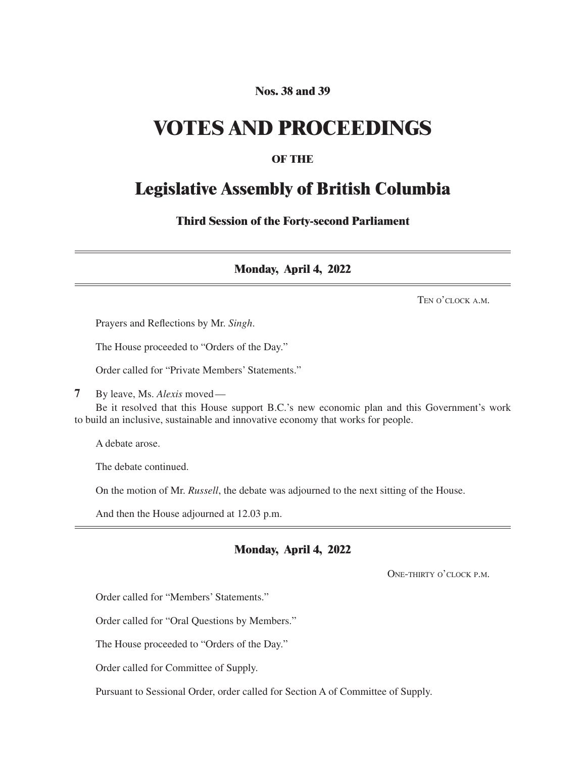# **Nos. 38 and 39**

# **VOTES AND PROCEEDINGS**

## **OF THE**

# **Legislative Assembly of British Columbia**

**Third Session of the Forty-second Parliament**

**Monday, April 4, 2022**

Ten o'clock a.m.

Prayers and Reflections by Mr. *Singh*.

The House proceeded to "Orders of the Day."

Order called for "Private Members' Statements."

**7** By leave, Ms. *Alexis* moved—

Be it resolved that this House support B.C.'s new economic plan and this Government's work to build an inclusive, sustainable and innovative economy that works for people.

A debate arose.

The debate continued.

On the motion of Mr. *Russell*, the debate was adjourned to the next sitting of the House.

And then the House adjourned at 12.03 p.m.

# **Monday, April 4, 2022**

One-thirty o'clock p.m.

Order called for "Members' Statements."

Order called for "Oral Questions by Members."

The House proceeded to "Orders of the Day."

Order called for Committee of Supply.

Pursuant to Sessional Order, order called for Section A of Committee of Supply.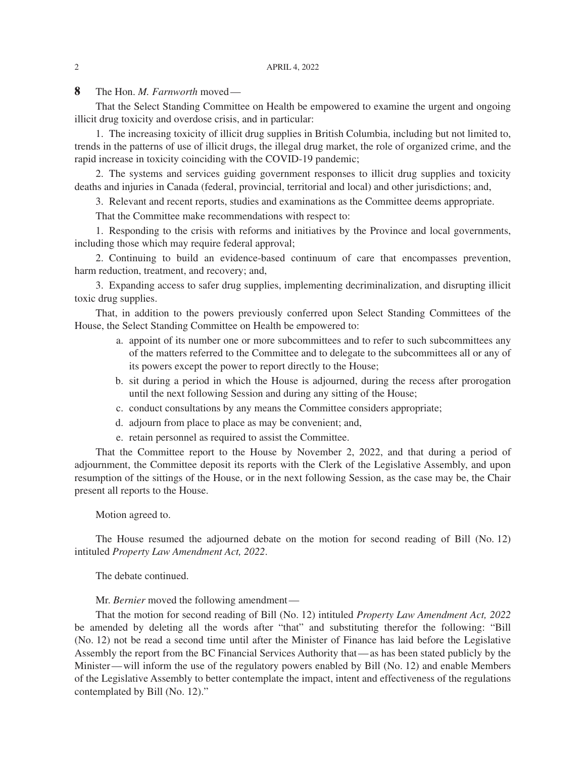**8** The Hon. *M. Farnworth* moved—

That the Select Standing Committee on Health be empowered to examine the urgent and ongoing illicit drug toxicity and overdose crisis, and in particular:

1. The increasing toxicity of illicit drug supplies in British Columbia, including but not limited to, trends in the patterns of use of illicit drugs, the illegal drug market, the role of organized crime, and the rapid increase in toxicity coinciding with the COVID-19 pandemic;

2. The systems and services guiding government responses to illicit drug supplies and toxicity deaths and injuries in Canada (federal, provincial, territorial and local) and other jurisdictions; and,

3. Relevant and recent reports, studies and examinations as the Committee deems appropriate.

That the Committee make recommendations with respect to:

1. Responding to the crisis with reforms and initiatives by the Province and local governments, including those which may require federal approval;

2. Continuing to build an evidence-based continuum of care that encompasses prevention, harm reduction, treatment, and recovery; and,

3. Expanding access to safer drug supplies, implementing decriminalization, and disrupting illicit toxic drug supplies.

That, in addition to the powers previously conferred upon Select Standing Committees of the House, the Select Standing Committee on Health be empowered to:

- a. appoint of its number one or more subcommittees and to refer to such subcommittees any of the matters referred to the Committee and to delegate to the subcommittees all or any of its powers except the power to report directly to the House;
- b. sit during a period in which the House is adjourned, during the recess after prorogation until the next following Session and during any sitting of the House;
- c. conduct consultations by any means the Committee considers appropriate;
- d. adjourn from place to place as may be convenient; and,
- e. retain personnel as required to assist the Committee.

That the Committee report to the House by November 2, 2022, and that during a period of adjournment, the Committee deposit its reports with the Clerk of the Legislative Assembly, and upon resumption of the sittings of the House, or in the next following Session, as the case may be, the Chair present all reports to the House.

#### Motion agreed to.

The House resumed the adjourned debate on the motion for second reading of Bill (No. 12) intituled *Property Law Amendment Act, 2022*.

The debate continued.

Mr. *Bernier* moved the following amendment—

That the motion for second reading of Bill (No. 12) intituled *Property Law Amendment Act, 2022* be amended by deleting all the words after "that" and substituting therefor the following: "Bill (No. 12) not be read a second time until after the Minister of Finance has laid before the Legislative Assembly the report from the BC Financial Services Authority that—as has been stated publicly by the Minister—will inform the use of the regulatory powers enabled by Bill (No. 12) and enable Members of the Legislative Assembly to better contemplate the impact, intent and effectiveness of the regulations contemplated by Bill (No. 12)."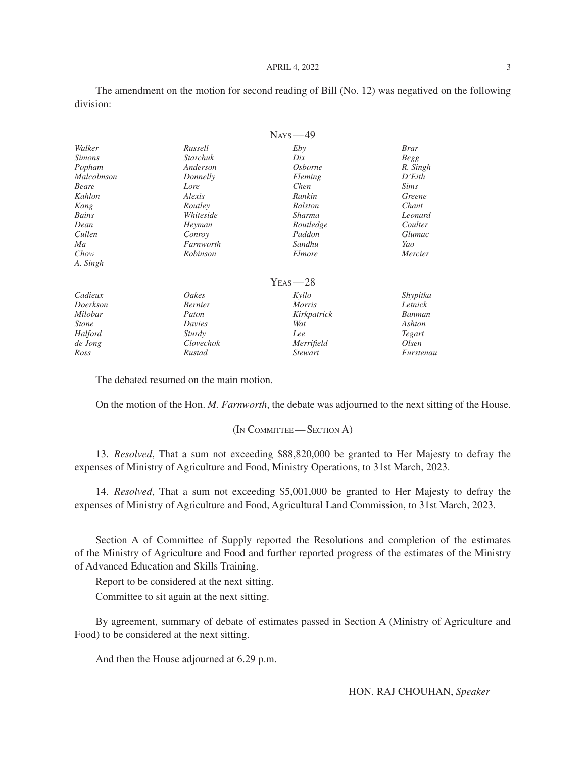The amendment on the motion for second reading of Bill (No. 12) was negatived on the following division:

| Walker<br>Russell          |                 | Eby            | <b>Brar</b> |  |
|----------------------------|-----------------|----------------|-------------|--|
| <i><b>Simons</b></i>       | <b>Starchuk</b> | Dix            | <b>Begg</b> |  |
| Popham                     | Anderson        | <b>Osborne</b> | R. Singh    |  |
| <i>Malcolmson</i>          | Donnelly        | Fleming        | D'Eith      |  |
| <b>Beare</b>               | Lore            | Chen           | <i>Sims</i> |  |
| Kahlon                     | Alexis          | Rankin         | Greene      |  |
| Kang                       | Routley         | Ralston        | Chant       |  |
| Bains                      | Whiteside       | Sharma         | Leonard     |  |
| Dean                       | Heyman          | Routledge      | Coulter     |  |
| Cullen<br>Conroy           |                 | Paddon         | Glumac      |  |
| Ma                         | Farnworth       | Sandhu         | Yao         |  |
| Chow                       | Robinson        | Elmore         | Mercier     |  |
| A. Singh                   |                 |                |             |  |
|                            |                 | $Y_{EAS} = 28$ |             |  |
| Cadieux                    | Oakes           | Kyllo          | Shypitka    |  |
| <b>Bernier</b><br>Doerkson |                 | <i>Morris</i>  | Letnick     |  |
| Milobar                    | Paton           | Kirkpatrick    | Banman      |  |
| <i>Stone</i>               | Davies          | Wat            | Ashton      |  |
| Halford                    | Sturdy          | Lee            | Tegart      |  |
| de Jong                    | Clovechok       | Merrifield     | Olsen       |  |
| Ross                       | Rustad          | <i>Stewart</i> | Furstenau   |  |

The debated resumed on the main motion.

On the motion of the Hon. *M. Farnworth*, the debate was adjourned to the next sitting of the House.

#### (In Committee— Section A)

13. *Resolved*, That a sum not exceeding \$88,820,000 be granted to Her Majesty to defray the expenses of Ministry of Agriculture and Food, Ministry Operations, to 31st March, 2023.

14. *Resolved*, That a sum not exceeding \$5,001,000 be granted to Her Majesty to defray the expenses of Ministry of Agriculture and Food, Agricultural Land Commission, to 31st March, 2023.

Section A of Committee of Supply reported the Resolutions and completion of the estimates of the Ministry of Agriculture and Food and further reported progress of the estimates of the Ministry of Advanced Education and Skills Training.

Report to be considered at the next sitting.

Committee to sit again at the next sitting.

By agreement, summary of debate of estimates passed in Section A (Ministry of Agriculture and Food) to be considered at the next sitting.

And then the House adjourned at 6.29 p.m.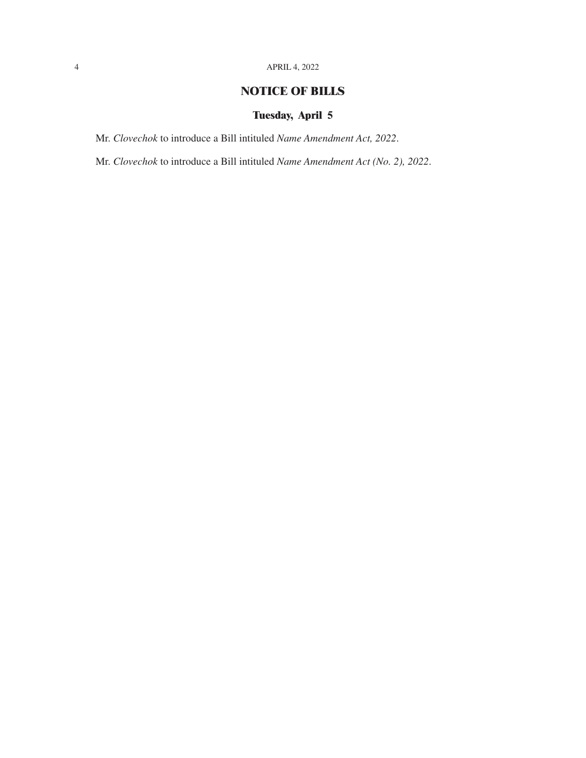# **NOTICE OF BILLS**

# **Tuesday, April 5**

Mr. *Clovechok* to introduce a Bill intituled *Name Amendment Act, 2022*.

Mr. *Clovechok* to introduce a Bill intituled *Name Amendment Act (No. 2), 2022*.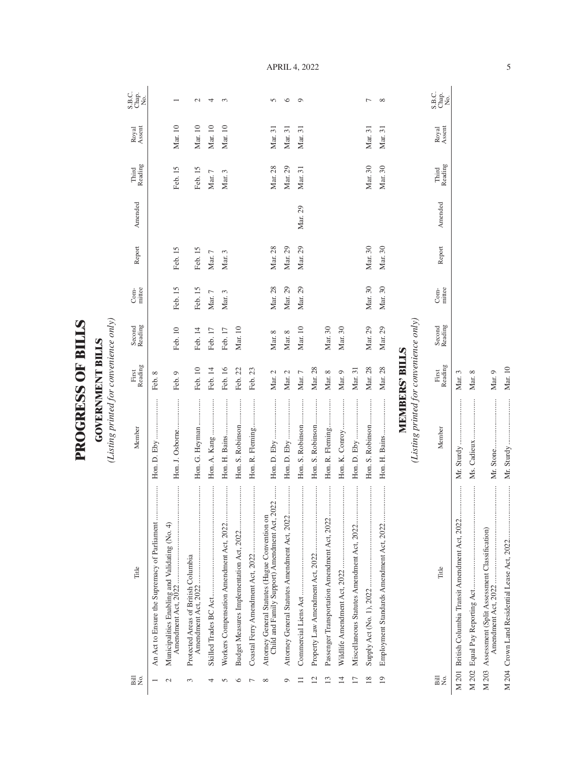| Ę        | $\blacksquare$ |
|----------|----------------|
| Č<br>ESS | ς              |
| ٢        | ∊              |

(Listing printed for convenience only) *(Listing printed for convenience only)*

| Bill<br>N⊙.     | Title                                                                                           | Member                                 | Reading<br>First      | Second<br>Reading | mittee<br>Com- | Report  | Amended | Third<br>Reading | Royal<br>Assent | S.B.C.<br>Chap.<br>No. |
|-----------------|-------------------------------------------------------------------------------------------------|----------------------------------------|-----------------------|-------------------|----------------|---------|---------|------------------|-----------------|------------------------|
|                 | <br>An Act to Ensure the Supremacy of Parliament                                                |                                        | Feb. 8                |                   |                |         |         |                  |                 |                        |
| $\mathcal{C}$   | Municipalities Enabling and Validating (No. 4)                                                  | Hon. J. Osborne                        | Feb. 9                | Feb. 10           | Feb. 15        | Feb. 15 |         | Feb. 15          | Mar. 10         |                        |
| 3               | <br>Protected Areas of British Columbia                                                         | Hon. G. Heyman                         | Feb. 10               | Feb. 14           | Feb. 15        | Feb. 15 |         | Feb. 15          | Mar. 10         | $\mathcal{L}$          |
| 4               |                                                                                                 |                                        | Feb. 14               | Feb. 17           | Mar. 7         | Mar. 7  |         | Mar. 7           | Mar. 10         | 4                      |
| n               |                                                                                                 | Hon. H. Bains                          | Feb. 16               | Feb. 17           | Mar. 3         | Mar. 3  |         | Mar. 3           | Mar. 10         | 3                      |
| ७               |                                                                                                 | Hon. S. Robinson                       | Feb. 22               | Mar. 10           |                |         |         |                  |                 |                        |
|                 |                                                                                                 | Hon. R. Fleming                        | Feb. 23               |                   |                |         |         |                  |                 |                        |
| ${}^{\circ}$    | Child and Family Support) Amendment Act, 2022<br>Attorney General Statutes (Hague Convention on |                                        | Mar. 2                | Mar. 8            | Mar. 28        | Mar. 28 |         | Mar. 28          | Mar. 31         | $\sqrt{ }$             |
| ⊝               |                                                                                                 |                                        | Mar. 2                | Mar. 8            | Mar. 29        | Mar. 29 |         | Mar. 29          | Mar. 31         | ७                      |
|                 |                                                                                                 | Hon. S. Robinson                       | Mar. 7                | Mar. 10           | Mar. 29        | Mar. 29 | Mar. 29 | Mar. 31          | Mar. 31         | O                      |
| $\mathbf{C}$    |                                                                                                 | Hon. S. Robinson                       | Mar. 28               |                   |                |         |         |                  |                 |                        |
| $\overline{13}$ |                                                                                                 | Hon. R. Fleming                        | Mar. 8                | Mar. 30           |                |         |         |                  |                 |                        |
| $\overline{4}$  |                                                                                                 | Hon. K. Conroy                         | Mar. 9                | Mar. 30           |                |         |         |                  |                 |                        |
| $\overline{17}$ | <br>Miscellaneous Statutes Amendment Act, 2022                                                  |                                        | Mar. 31               |                   |                |         |         |                  |                 |                        |
| $\frac{8}{2}$   |                                                                                                 | Hon. S. Robinson                       | Mar. 28               | Mar. 29           | Mar. 30        | Mar. 30 |         | Mar. 30          | Mar. 31         | Γ                      |
| 19              | <br>Employment Standards Amendment Act, 2022                                                    |                                        | Mar. 28               | Mar. 29           | Mar. 30        | Mar. 30 |         | Mar. 30          | Mar. 31         | ${}^{\circ}$           |
|                 |                                                                                                 |                                        | <b>MEMBERS' BILLS</b> |                   |                |         |         |                  |                 |                        |
|                 |                                                                                                 | (Listing printed for convenience only) |                       |                   |                |         |         |                  |                 |                        |
| Bill<br>Σó      | Title                                                                                           | Member                                 | Reading<br>First      | Second<br>Reading | mittee<br>Com- | Report  | Amended | Third<br>Reading | Royal<br>Assent | S.B.C.<br>Chap.<br>No. |

April 4, 2022

M 201 British Columbia Transit Amendment Act, 2022................. Mr. Sturdy ........................ Mar. 3 M 202 Equal Pay Reporting Act...................................................... Ms. Cadieux ..................... Mar. 8

M 201 British Columbia Transit Amendment Act, 2022...................

M 203 Assessment (Split Assessment Classification)

Amendment Act, 2022 ................................................... Mr. Stone.......................... Mar. 9

 $\begin{minipage}{0.9\linewidth} \begin{tabular}{l} \toprule \multicolumn{2}{c}{\textbf{0.9\linewidth}} \begin{tabular}{l} \multicolumn{2}{c}{\textbf{0.9\linewidth}} \end{tabular} \end{minipage} \end{minipage} \caption{A system of the model and the model of the model.} \label{fig:1}$ 

M 204 Crown Land Residential Lease Act, 2022............................ Mr. Sturdy ........................ Mar. 10

Mar. 10

 $\begin{minipage}{0.9\linewidth} \begin{tabular}{l} \hline \textbf{0.9\linewidth} & \textbf{0.9\linewidth} \end{tabular} \end{minipage} \begin{minipage}{0.9\linewidth} \begin{tabular}{l} \hline \textbf{1.9\linewidth} & \textbf{0.9\linewidth} \end{tabular} \end{minipage} \begin{minipage}{0.9\linewidth} \begin{tabular}{l} \hline \textbf{1.9\linewidth} & \textbf{0.9\linewidth} \end{tabular} \end{minipage} \begin{minipage}{0.9\linewidth} \end{minipage} \begin{minipage}{0.9\linewidth} \end{minipage} \begin{minipage$ 

Mr. Sturdy ....... Mr. Stone........

Mar.  $9$ 

 $\begin{minipage}{0.9\linewidth} \begin{tabular}{l} \hline \multicolumn{3}{c}{\textbf{0.9\linewidth}} \end{tabular} \end{minipage} \end{minipage} \vspace{-0.5cm}$ 

Mar.  $8$ Mar. 3

 $\begin{array}{c} \vdots \\ \vdots \\ \vdots \end{array}$ 

Mr. Sturdy ................................